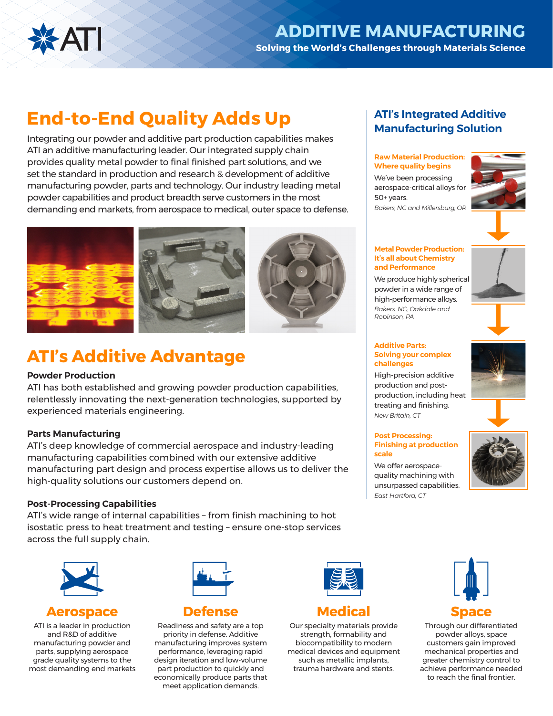

# **End-to-End Quality Adds Up**

Integrating our powder and additive part production capabilities makes ATI an additive manufacturing leader. Our integrated supply chain provides quality metal powder to final finished part solutions, and we set the standard in production and research & development of additive manufacturing powder, parts and technology. Our industry leading metal powder capabilities and product breadth serve customers in the most demanding end markets, from aerospace to medical, outer space to defense.



# **ATI's Additive Advantage**

### **Powder Production**

ATI has both established and growing powder production capabilities, relentlessly innovating the next-generation technologies, supported by experienced materials engineering.

### **Parts Manufacturing**

ATI's deep knowledge of commercial aerospace and industry-leading manufacturing capabilities combined with our extensive additive manufacturing part design and process expertise allows us to deliver the high-quality solutions our customers depend on.

### **Post-Processing Capabilities**

ATI's wide range of internal capabilities – from finish machining to hot isostatic press to heat treatment and testing – ensure one-stop services across the full supply chain.



# **Aerospace**

ATI is a leader in production and R&D of additive manufacturing powder and parts, supplying aerospace grade quality systems to the most demanding end markets



**Defense**

Readiness and safety are a top priority in defense. Additive manufacturing improves system performance, leveraging rapid design iteration and low-volume part production to quickly and economically produce parts that meet application demands.



# **Medical**

Our specialty materials provide strength, formability and biocompatibility to modern medical devices and equipment such as metallic implants, trauma hardware and stents.

# **ATI's Integrated Additive Manufacturing Solution**

### **Raw Material Production: Where quality begins**

We've been processing aerospace-critical alloys for 50+ years. *Bakers, NC and Millersburg, OR*



#### **Metal Powder Production: It's all about Chemistry and Performance**

We produce highly spherical powder in a wide range of high-performance alloys. *Bakers, NC; Oakdale and Robinson, PA*

#### **Additive Parts: Solving your complex challenges**

High-precision additive production and postproduction, including heat treating and finishing. *New Britain, CT*

#### **Post Processing: Finishing at production scale**



We offer aerospacequality machining with unsurpassed capabilities. *East Hartford, CT*



Through our differentiated powder alloys, space customers gain improved mechanical properties and greater chemistry control to achieve performance needed to reach the final frontier.